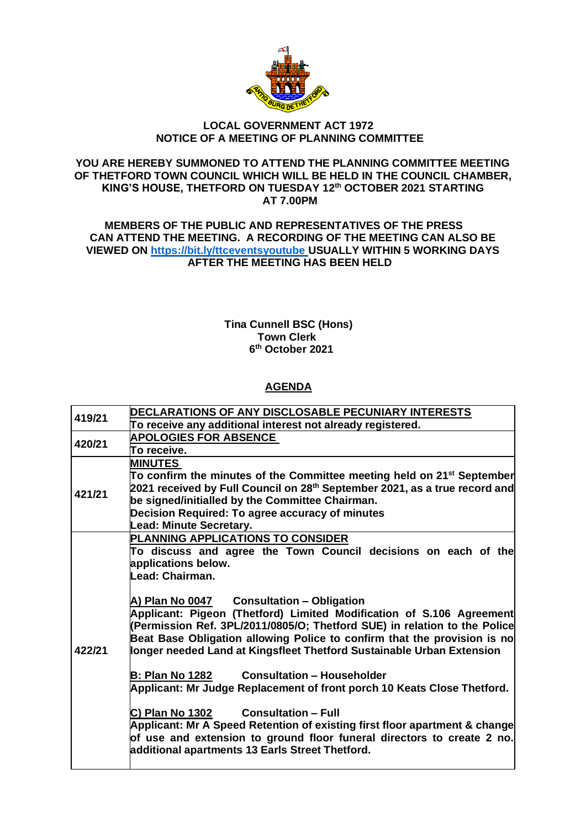

## **LOCAL GOVERNMENT ACT 1972 NOTICE OF A MEETING OF PLANNING COMMITTEE**

### **YOU ARE HEREBY SUMMONED TO ATTEND THE PLANNING COMMITTEE MEETING OF THETFORD TOWN COUNCIL WHICH WILL BE HELD IN THE COUNCIL CHAMBER, KING'S HOUSE, THETFORD ON TUESDAY 12th OCTOBER 2021 STARTING AT 7.00PM**

### **MEMBERS OF THE PUBLIC AND REPRESENTATIVES OF THE PRESS CAN ATTEND THE MEETING. A RECORDING OF THE MEETING CAN ALSO BE VIEWED ON [https://bit.ly/ttceventsyoutube](https://bit.ly/ttceventsyoutube%C2%A0USUALLY) USUALLY WITHIN 5 WORKING DAYS AFTER THE MEETING HAS BEEN HELD**

#### **Tina Cunnell BSC (Hons) Town Clerk 6 th October 2021**

# **AGENDA**

| 419/21 | DECLARATIONS OF ANY DISCLOSABLE PECUNIARY INTERESTS                                                                                                                                                                                                                                                                                                 |
|--------|-----------------------------------------------------------------------------------------------------------------------------------------------------------------------------------------------------------------------------------------------------------------------------------------------------------------------------------------------------|
|        | To receive any additional interest not already registered.                                                                                                                                                                                                                                                                                          |
| 420/21 | <b>APOLOGIES FOR ABSENCE</b>                                                                                                                                                                                                                                                                                                                        |
|        | To receive.                                                                                                                                                                                                                                                                                                                                         |
| 421/21 | <b>MINUTES</b><br>To confirm the minutes of the Committee meeting held on 21 <sup>st</sup> September<br>2021 received by Full Council on 28 <sup>th</sup> September 2021, as a true record and<br>be signed/initialled by the Committee Chairman.<br>Decision Required: To agree accuracy of minutes<br><b>Lead: Minute Secretary.</b>              |
| 422/21 | PLANNING APPLICATIONS TO CONSIDER<br>To discuss and agree the Town Council decisions on each of the<br>applications below.<br>Lead: Chairman.                                                                                                                                                                                                       |
|        | A) Plan No 0047 Consultation - Obligation<br>Applicant: Pigeon (Thetford) Limited Modification of S.106 Agreement<br>(Permission Ref. 3PL/2011/0805/O; Thetford SUE) in relation to the Police<br>Beat Base Obligation allowing Police to confirm that the provision is no<br>longer needed Land at Kingsfleet Thetford Sustainable Urban Extension |
|        | <b>Consultation - Householder</b><br><b>B: Plan No 1282</b><br>Applicant: Mr Judge Replacement of front porch 10 Keats Close Thetford.                                                                                                                                                                                                              |
|        | <b>Consultation - Full</b><br>C) Plan No 1302<br>Applicant: Mr A Speed Retention of existing first floor apartment & change<br>of use and extension to ground floor funeral directors to create 2 no.<br>additional apartments 13 Earls Street Thetford.                                                                                            |